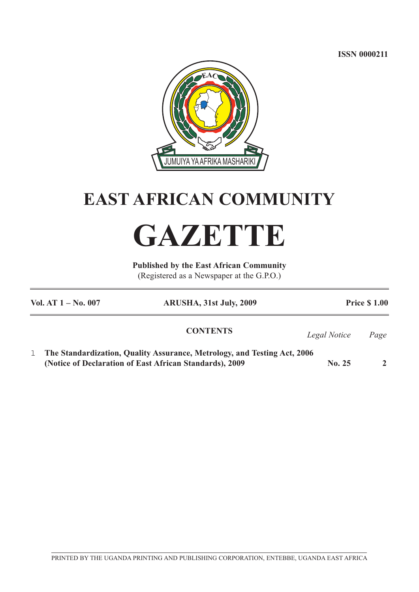**ISSN 0000211**



## **EAST AFRICAN COMMUNITY**

## **GAZETTE**

**Published by the East African Community** (Registered as a Newspaper at the G.P.O.)

| Vol. AT $1 - No. 007$ |                                                                          | ARUSHA, 31st July, 2009 | <b>Price \$1.00</b> |      |
|-----------------------|--------------------------------------------------------------------------|-------------------------|---------------------|------|
|                       |                                                                          | <b>CONTENTS</b>         | Legal Notice        | Page |
|                       | The Standardization, Quality Assurance, Metrology, and Testing Act, 2006 |                         |                     |      |
|                       | (Notice of Declaration of East African Standards), 2009                  |                         | <b>No. 25</b>       |      |